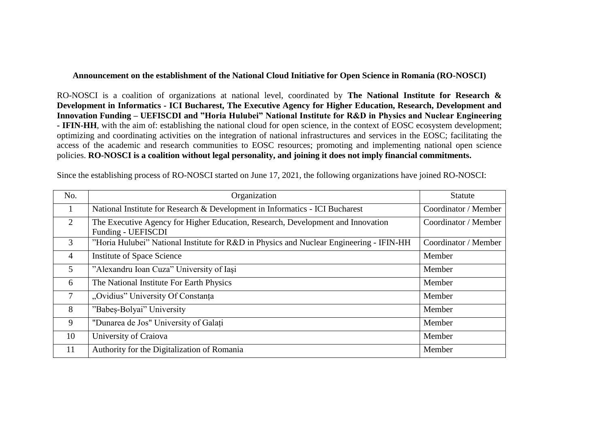## **Announcement on the establishment of the National Cloud Initiative for Open Science in Romania (RO-NOSCI)**

RO-NOSCI is a coalition of organizations at national level, coordinated by **The National Institute for Research & Development in Informatics - ICI Bucharest, The Executive Agency for Higher Education, Research, Development and Innovation Funding – UEFISCDI and "Horia Hulubei" National Institute for R&D in Physics and Nuclear Engineering - IFIN-HH**, with the aim of: establishing the national cloud for open science, in the context of EOSC ecosystem development; optimizing and coordinating activities on the integration of national infrastructures and services in the EOSC; facilitating the access of the academic and research communities to EOSC resources; promoting and implementing national open science policies. **RO-NOSCI is a coalition without legal personality, and joining it does not imply financial commitments.**

| No.            | Organization                                                                                          | <b>Statute</b>       |
|----------------|-------------------------------------------------------------------------------------------------------|----------------------|
|                | National Institute for Research & Development in Informatics - ICI Bucharest                          | Coordinator / Member |
| 2              | The Executive Agency for Higher Education, Research, Development and Innovation<br>Funding - UEFISCDI | Coordinator / Member |
| 3              | "Horia Hulubei" National Institute for R&D in Physics and Nuclear Engineering - IFIN-HH               | Coordinator / Member |
| $\overline{4}$ | Institute of Space Science                                                                            | Member               |
| 5 <sup>5</sup> | "Alexandru Ioan Cuza" University of Iași                                                              | Member               |
| 6              | The National Institute For Earth Physics                                                              | Member               |
| $\overline{7}$ | "Ovidius" University Of Constanta                                                                     | Member               |
| 8              | "Babes-Bolyai" University                                                                             | Member               |
| 9              | "Dunarea de Jos" University of Galati                                                                 | Member               |
| 10             | University of Craiova                                                                                 | Member               |
| 11             | Authority for the Digitalization of Romania                                                           | Member               |

Since the establishing process of RO-NOSCI started on June 17, 2021, the following organizations have joined RO-NOSCI: